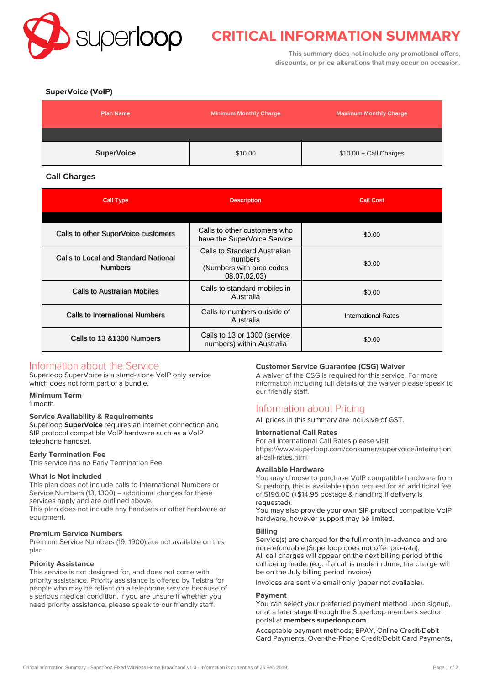

# **CRITICAL INFORMATION SUMMARY**

**This summary does not include any promotional offers, discounts, or price alterations that may occur on occasion.**

# **SuperVoice (VoIP)**

| <b>Plan Name</b>  | <b>Minimum Monthly Charge</b> | Maximum Monthly Charge  |
|-------------------|-------------------------------|-------------------------|
|                   |                               |                         |
| <b>SuperVoice</b> | \$10.00                       | $$10.00 +$ Call Charges |

# **Call Charges**

| <b>Call Type</b>                                       | <b>Description</b>                                                                  | <b>Call Cost</b>           |
|--------------------------------------------------------|-------------------------------------------------------------------------------------|----------------------------|
|                                                        |                                                                                     |                            |
| Calls to other SuperVoice customers                    | Calls to other customers who<br>have the SuperVoice Service                         | \$0.00                     |
| Calls to Local and Standard National<br><b>Numbers</b> | Calls to Standard Australian<br>numbers<br>(Numbers with area codes<br>08,07,02,03) | \$0.00                     |
| Calls to Australian Mobiles                            | Calls to standard mobiles in<br>Australia                                           | \$0.00                     |
| Calls to International Numbers                         | Calls to numbers outside of<br>Australia                                            | <b>International Rates</b> |
| Calls to 13 & 1300 Numbers                             | Calls to 13 or 1300 (service<br>numbers) within Australia                           | \$0.00                     |

# Information about the Service

Superloop SuperVoice is a stand-alone VoIP only service which does not form part of a bundle.

### **Minimum Term**

1 month

### **Service Availability & Requirements**

Superloop **SuperVoice** requires an internet connection and SIP protocol compatible VoIP hardware such as a VoIP telephone handset.

### **Early Termination Fee**

This service has no Early Termination Fee

### **What is Not included**

This plan does not include calls to International Numbers or Service Numbers (13, 1300) – additional charges for these services apply and are outlined above.

This plan does not include any handsets or other hardware or equipment.

### **Premium Service Numbers**

Premium Service Numbers (19, 1900) are not available on this plan.

### **Priority Assistance**

This service is not designed for, and does not come with priority assistance. Priority assistance is offered by Telstra for people who may be reliant on a telephone service because of a serious medical condition. If you are unsure if whether you need priority assistance, please speak to our friendly staff.

# **Customer Service Guarantee (CSG) Waiver**

A waiver of the CSG is required for this service. For more information including full details of the waiver please speak to our friendly staff.

# **Information about Pricing**

All prices in this summary are inclusive of GST.

### **International Call Rates**

For all International Call Rates please visit https://www.superloop.com/consumer/supervoice/internation al-call-rates.html

### **Available Hardware**

You may choose to purchase VoIP compatible hardware from Superloop, this is available upon request for an additional fee of \$196.00 (+\$14.95 postage & handling if delivery is requested).

You may also provide your own SIP protocol compatible VoIP hardware, however support may be limited.

### **Billing**

Service(s) are charged for the full month in-advance and are non-refundable (Superloop does not offer pro-rata). All call charges will appear on the next billing period of the call being made. (e.g. if a call is made in June, the charge will be on the July billing period invoice)

Invoices are sent via email only (paper not available).

### **Payment**

You can select your preferred payment method upon signup, or at a later stage through the Superloop members section portal at **[members.superloop.com](https://members.superloop.com/login)**

Acceptable payment methods; BPAY, Online Credit/Debit Card Payments, Over-the-Phone Credit/Debit Card Payments,